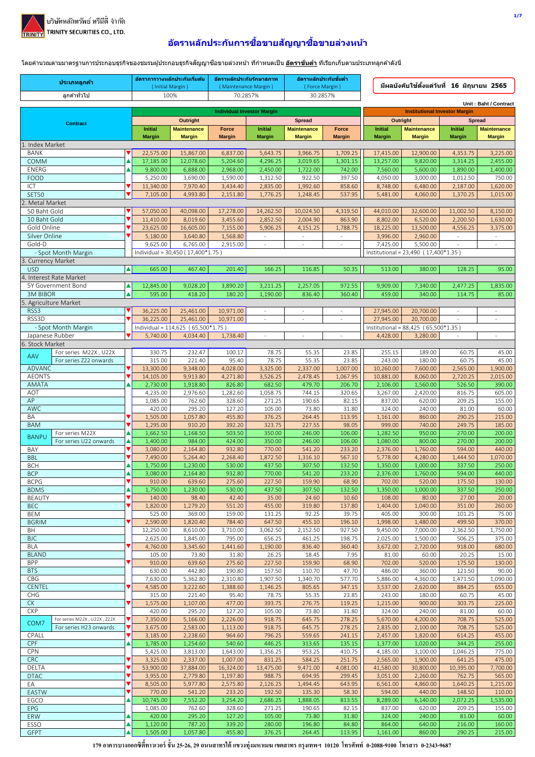

## ้อัตราหลักประกันการชื้อขายสัญญาชื้อขายล่วงหน้า

์ โดยคำนวณตามมาตรฐานการประกอบธุรกิจของชมรมผู้ประกอบธุรกิจสัญญาซื้อขายล่วงหน้า ที่กำหนดเป็น <u>อั<mark>ตราขั้นต่ำ</mark> ที่เรียกเก็บ</u>ตามประเภทลูกค้าดังนี้

| ประเภทลูกค้า                                                  |                  | อัตราการวางหลักประกันเริ่มต้น<br>(Initial Margin) |                                    | อัตราหลักประกันรักษาสภาพ<br>( Maintenance Margin ) |                      | อัตราหลักประกันขั้นต่ำ<br>(Force Margin) |                  |                                      | ่ มีผลบังคับใช้ตั้งแต่วันที่ 16 มิถุนายน 2565 |                      |                             |
|---------------------------------------------------------------|------------------|---------------------------------------------------|------------------------------------|----------------------------------------------------|----------------------|------------------------------------------|------------------|--------------------------------------|-----------------------------------------------|----------------------|-----------------------------|
| ลูกค้าทั่วไป                                                  |                  |                                                   | 100%                               | 70.2857%                                           |                      | 30.2857%                                 |                  |                                      |                                               |                      |                             |
|                                                               |                  |                                                   |                                    |                                                    |                      |                                          |                  |                                      |                                               |                      | Unit: Baht / Contract       |
|                                                               |                  |                                                   | Outright                           | <b>Individual Investor Margin</b>                  |                      | <b>Spread</b>                            |                  | Outright                             | <b>Institutional Investor Margin</b>          | <b>Spread</b>        |                             |
| <b>Contract</b>                                               |                  | <b>Initial</b>                                    | <b>Maintenance</b>                 | <b>Force</b>                                       | <b>Initial</b>       | <b>Maintenance</b>                       | Force            | <b>Initial</b>                       | <b>Maintenance</b>                            | Initial              | <b>Maintenance</b>          |
|                                                               |                  | <b>Margin</b>                                     | <b>Margin</b>                      | <b>Margin</b>                                      | <b>Margin</b>        | <b>Margin</b>                            | <b>Margin</b>    | <b>Margin</b>                        | <b>Margin</b>                                 | <b>Margin</b>        | <b>Margin</b>               |
| 1. Index Market<br><b>BANK</b>                                |                  | 22,575.00                                         | 15,867.00                          | 6,837.00                                           | 5,643.75             | 3,966.75                                 | 1,709.25         | 17,415.00                            | 12,900.00                                     | 4,353.75             | 3,225.00                    |
| <b>COMM</b>                                                   | ▲                | 17,185.00                                         | 12,078.60                          | 5,204.60                                           | 4,296.25             | 3,019.65                                 | 1,301.15         | 13,257.00                            | 9,820.00                                      | 3,314.25             | 2,455.00                    |
| ENERG                                                         |                  | 9,800.00                                          | 6,888.00                           | 2,968.00                                           | 2,450.00             | 1,722.00                                 | 742.00           | 7,560.00                             | 5,600.00                                      | 1,890.00             | 1,400.00                    |
| <b>FOOD</b>                                                   | ▼                | 5,250.00                                          | 3,690.00                           | 1,590.00<br>3,434.40                               | 1,312.50             | 922.50                                   | 397.50           | 4,050.00                             | 3,000.00                                      | 1,012.50             | 750.00                      |
| ICT<br><b>SET50</b>                                           | ▼                | 11,340.00<br>7,105.00                             | 7,970.40<br>4,993.80               | 2,151.80                                           | 2,835.00<br>1,776.25 | 1,992.60<br>1,248.45                     | 858.60<br>537.95 | 8,748.00<br>5,481.00                 | 6,480.00<br>4,060.00                          | 2,187.00<br>1,370.25 | 1,620.00<br>1,015.00        |
| Metal Market                                                  |                  |                                                   |                                    |                                                    |                      |                                          |                  |                                      |                                               |                      |                             |
| 50 Baht Gold                                                  |                  | 57,050.00                                         | 40,098.00                          | 17,278.00                                          | 14,262.50            | 10,024.50                                | 4,319.50         | 44,010.00                            | 32,600.00                                     | 11,002.50            | 8,150.00                    |
| 10 Baht Gold                                                  |                  | 11,410.00                                         | 8,019.60                           | 3,455.60                                           | 2,852.50             | 2,004.90                                 | 863.90           | 8,802.00                             | 6,520.00                                      | 2,200.50             | 1,630.00                    |
| Gold Online<br>Silver Online                                  |                  | 23,625.00<br>5,180.00                             | 16,605.00<br>3,640.80              | 7,155.00<br>1,568.80                               | 5,906.25<br>÷.       | 4,151.25<br>$\omega$                     | 1,788.75<br>÷.   | 18,225.00<br>3,996.00                | 13,500.00<br>2,960.00                         | 4,556.25<br>$\omega$ | 3,375.00<br>$\sim$          |
| Gold-D                                                        |                  | 9,625.00                                          | 6,765.00                           | 2,915.00                                           | ÷.                   | ÷,                                       | $\sim$           | 7,425.00                             | 5,500.00                                      | $\sim$               | $\sim$                      |
| - Spot Month Margin                                           |                  |                                                   | Individual = 30,450 (17,400*1.75)  |                                                    |                      |                                          |                  | Institutional = 23,490 (17,400*1.35) |                                               |                      |                             |
| 3. Currency Market<br><b>USD</b>                              | $\blacktriangle$ | 665.00                                            | 467.40                             | 201.40                                             | 166.25               |                                          | 50.35            | 513.00                               | 380.00                                        | 128.25               | 95.00                       |
| 4. Interest Rate Market                                       |                  |                                                   |                                    |                                                    |                      | 116.85                                   |                  |                                      |                                               |                      |                             |
| 5Y Government Bond                                            | ▲                | 12,845.00                                         | 9,028.20                           | 3,890.20                                           | 3,211.25             | 2,257.05                                 | 972.55           | 9,909.00                             | 7,340.00                                      | 2,477.25             | 1,835.00                    |
| <b>3M BIBOR</b>                                               | $\blacktriangle$ | 595.00                                            | 418.20                             | 180.20                                             | 1,190.00             | 836.40                                   | 360.40           | 459.00                               | 340.00                                        | 114.75               | 85.00                       |
| 5. Agriculture Market                                         |                  |                                                   |                                    |                                                    |                      |                                          |                  |                                      |                                               |                      |                             |
| RSS3<br>RSS3D                                                 |                  | 36,225.00<br>36,225.00                            | 25,461.00<br>25,461.00             | 10,971.00<br>10,971.00                             | ä,                   | $\sim$                                   |                  | 27,945.00<br>27,945.00               | 20,700.00<br>20,700.00                        | $\sim$               | $\sim$<br>$\qquad \qquad -$ |
| - Spot Month Margin                                           |                  |                                                   | Individual = 114,625 (65,500*1.75) |                                                    |                      |                                          |                  | Institutional = 88,425 (65,500*1.35) |                                               |                      |                             |
| Japanese Rubber                                               |                  | 5,740.00                                          | 4,034.40                           | 1,738.40                                           | ÷.                   | ÷,                                       | ÷,               | 4,428.00                             | 3,280.00                                      | $\sim$               | $\overline{a}$              |
| 6. Stock Market                                               |                  |                                                   |                                    |                                                    |                      |                                          |                  |                                      |                                               |                      |                             |
| For series M22X, U22X<br><b>AAV</b><br>For series Z22 onwards |                  | 330.75<br>315.00                                  | 232.47<br>221.40                   | 100.17<br>95.40                                    | 78.75<br>78.75       | 55.35<br>55.35                           | 23.85<br>23.85   | 255.15<br>243.00                     | 189.00<br>180.00                              | 60.75<br>60.75       | 45.00<br>45.00              |
| <b>ADVANC</b>                                                 | ▼                | 13,300.00                                         | 9,348.00                           | 4,028.00                                           | 3,325.00             | 2,337.00                                 | 1,007.00         | 10,260.00                            | 7,600.00                                      | 2,565.00             | 1,900.00                    |
| <b>AEONTS</b>                                                 |                  | 14,105.00                                         | 9,913.80                           | 4,271.80                                           | 3,526.25             | 2,478.45                                 | 1,067.95         | 10,881.00                            | 8,060.00                                      | 2,720.25             | 2,015.00                    |
| <b>AMATA</b><br>AOT                                           |                  | 2,730.00<br>4,235.00                              | 1,918.80<br>2,976.60               | 826.80<br>1,282.60                                 | 682.50<br>1,058.75   | 479.70<br>744.15                         | 206.70<br>320.65 | 2,106.00<br>3,267.00                 | 1,560.00<br>2,420.00                          | 526.50<br>816.75     | 390.00<br>605.00            |
| AP                                                            |                  | 1,085.00                                          | 762.60                             | 328.60                                             | 271.25               | 190.65                                   | 82.15            | 837.00                               | 620.00                                        | 209.25               | 155.00                      |
| <b>AWC</b>                                                    |                  | 420.00                                            | 295.20                             | 127.20                                             | 105.00               | 73.80                                    | 31.80            | 324.00                               | 240.00                                        | 81.00                | 60.00                       |
| BA                                                            | ▼                | 1,505.00                                          | 1,057.80                           | 455.80                                             | 376.25               | 264.45                                   | 113.95           | 1,161.00                             | 860.00                                        | 290.25               | 215.00                      |
| <b>BAM</b><br>For series M22X                                 |                  | 1,295.00<br>1,662.50                              | 910.20<br>1,168.50                 | 392.20<br>503.50                                   | 323.75<br>350.00     | 227.55<br>246.00                         | 98.05<br>106.00  | 999.00<br>1,282.50                   | 740.00<br>950.00                              | 249.75<br>270.00     | 185.00<br>200.00            |
| <b>BANPU</b><br>For series U22 onwards                        |                  | 1,400.00                                          | 984.00                             | 424.00                                             | 350.00               | 246.00                                   | 106.00           | 1,080.00                             | 800.00                                        | 270.00               | 200.00                      |
| BAY                                                           | ▼                | 3,080.00                                          | 2,164.80                           | 932.80                                             | 770.00               | 541.20                                   | 233.20           | 2,376.00                             | 1,760.00                                      | 594.00               | 440.00                      |
| <b>BBL</b><br><b>BCH</b>                                      |                  | 7,490.00<br>1,750.00                              | 5,264.40<br>1,230.00               | 2,268.40<br>530.00                                 | 1,872.50<br>437.50   | 1,316.10<br>307.50                       | 567.10<br>132.50 | 5,778.00<br>1,350.00                 | 4,280.00<br>1,000.00                          | 1,444.50<br>337.50   | 1,070.00<br>250.00          |
| <b>BCP</b>                                                    |                  | 3,080.00                                          | 2,164.80                           | 932.80                                             | 770.00               | 541.20                                   | 233.20           | 2,376.00                             | 1,760.00                                      | 594.00               | 440.00                      |
| BCPG                                                          |                  | 910.00                                            | 639.60                             | 275.60                                             | 227.50               | 159.90                                   | 68.90            | 702.00                               | 520.00                                        | 175.50               | 130.00                      |
| <b>BDMS</b>                                                   | ▲                | 1,750.00                                          | 1,230.00                           | 530.00                                             | 437.50               | 307.50                                   | 132.50           | 1,350.00                             | 1,000.00                                      | 337.50               | 250.00                      |
| <b>BEAUTY</b><br><b>BEC</b>                                   | ▼                | 140.00<br>1,820.00                                | 98.40<br>1,279.20                  | 42.40<br>551.20                                    | 35.00<br>455.00      | 24.60<br>319.80                          | 10.60<br>137.80  | 108.00<br>1,404.00                   | 80.00<br>1,040.00                             | 27.00<br>351.00      | 20.00<br>260.00             |
| BEM                                                           |                  | 525.00                                            | 369.00                             | 159.00                                             | 131.25               | 92.25                                    | 39.75            | 405.00                               | 300.00                                        | 101.25               | 75.00                       |
| <b>BGRIM</b>                                                  | ▼                | 2,590.00                                          | 1,820.40                           | 784.40                                             | 647.50               | 455.10                                   | 196.10           | 1,998.00                             | 1,480.00                                      | 499.50               | 370.00                      |
| BH<br><b>BJC</b>                                              |                  | 12,250.00                                         | 8,610.00                           | 3,710.00                                           | 3,062.50             | 2,152.50                                 | 927.50           | 9,450.00                             | 7,000.00                                      | 2,362.50             | 1,750.00                    |
| <b>BLA</b>                                                    | v                | 2,625.00<br>4,760.00                              | 1,845.00<br>3,345.60               | 795.00<br>1,441.60                                 | 656.25<br>1,190.00   | 461.25<br>836.40                         | 198.75<br>360.40 | 2,025.00<br>3,672.00                 | 1,500.00<br>2,720.00                          | 506.25<br>918.00     | 375.00<br>680.00            |
| <b>BLAND</b>                                                  |                  | 105.00                                            | 73.80                              | 31.80                                              | 26.25                | 18.45                                    | 7.95             | 81.00                                | 60.00                                         | 20.25                | 15.00                       |
| <b>BPP</b>                                                    | ▼                | 910.00                                            | 639.60                             | 275.60                                             | 227.50               | 159.90                                   | 68.90            | 702.00                               | 520.00                                        | 175.50               | 130.00                      |
| <b>BTS</b><br>CBG                                             |                  | 630.00<br>7,630.00                                | 442.80<br>5,362.80                 | 190.80<br>2,310.80                                 | 157.50<br>1,907.50   | 110.70<br>1,340.70                       | 47.70<br>577.70  | 486.00<br>5,886.00                   | 360.00<br>4,360.00                            | 121.50<br>1,471.50   | 90.00<br>1,090.00           |
| <b>CENTEL</b>                                                 |                  | 4,585.00                                          | 3,222.60                           | 1,388.60                                           | 1,146.25             | 805.65                                   | 347.15           | 3,537.00                             | 2,620.00                                      | 884.25               | 655.00                      |
| CHG                                                           |                  | 315.00                                            | 221.40                             | 95.40                                              | 78.75                | 55.35                                    | 23.85            | 243.00                               | 180.00                                        | 60.75                | 45.00                       |
| СK                                                            | v                | 1,575.00                                          | 1,107.00                           | 477.00                                             | 393.75               | 276.75                                   | 119.25           | 1,215.00                             | 900.00                                        | 303.75               | 225.00                      |
| <b>CKP</b><br>For series M22X, U22X, Z22X                     | ▼                | 420.00<br>7,350.00                                | 295.20<br>5,166.00                 | 127.20<br>2,226.00                                 | 105.00<br>918.75     | 73.80<br>645.75                          | 31.80<br>278.25  | 324.00<br>5,670.00                   | 240.00<br>4,200.00                            | 81.00<br>708.75      | 60.00<br>525.00             |
| COM7<br>For series H23 onwards                                | ▼                | 3,675.00                                          | 2,583.00                           | 1,113.00                                           | 918.75               | 645.75                                   | 278.25           | 2,835.00                             | 2,100.00                                      | 708.75               | 525.00                      |
| CPALL                                                         | ▼                | 3,185.00                                          | 2,238.60                           | 964.60                                             | 796.25               | 559.65                                   | 241.15           | 2,457.00                             | 1,820.00                                      | 614.25               | 455.00                      |
| <b>CPF</b><br>CPN                                             |                  | 1,785.00<br>5,425.00                              | 1,254.60<br>3,813.00               | 540.60<br>1,643.00                                 | 446.25<br>1,356.25   | 313.65<br>953.25                         | 135.15<br>410.75 | 1,377.00<br>4,185.00                 | 1,020.00<br>3,100.00                          | 344.25<br>1,046.25   | 255.00<br>775.00            |
| <b>CRC</b>                                                    | ▼                | 3,325.00                                          | 2,337.00                           | 1,007.00                                           | 831.25               | 584.25                                   | 251.75           | 2,565.00                             | 1,900.00                                      | 641.25               | 475.00                      |
| DELTA                                                         | ▼                | 53,900.00                                         | 37,884.00                          | 16,324.00                                          | 13,475.00            | 9,471.00                                 | 4,081.00         | 41,580.00                            | 30,800.00                                     | 10,395.00            | 7,700.00                    |
| <b>DTAC</b>                                                   | ▼                | 3,955.00                                          | 2,779.80                           | 1,197.80                                           | 988.75               | 694.95                                   | 299.45           | 3,051.00                             | 2,260.00                                      | 762.75               | 565.00                      |
| ЕA<br>EASTW                                                   | ▼                | 8,505.00<br>770.00                                | 5,977.80<br>541.20                 | 2,575.80<br>233.20                                 | 2,126.25<br>192.50   | 1,494.45<br>135.30                       | 643.95<br>58.30  | 6,561.00<br>594.00                   | 4,860.00<br>440.00                            | 1,640.25<br>148.50   | 1,215.00<br>110.00          |
| EGCO                                                          |                  | 10,745.00                                         | 7,552.20                           | 3,254.20                                           | 2,686.25             | 1,888.05                                 | 813.55           | 8,289.00                             | 6,140.00                                      | 2,072.25             | 1,535.00                    |
| <b>EPG</b>                                                    |                  | 1,085.00                                          | 762.60                             | 328.60                                             | 271.25               | 190.65                                   | 82.15            | 837.00                               | 620.00                                        | 209.25               | 155.00                      |
| <b>ERW</b><br>ESSO                                            |                  | 420.00                                            | 295.20                             | 127.20                                             | 105.00               | 73.80                                    | 31.80            | 324.00                               | 240.00                                        | 81.00                | 60.00                       |
| <b>GFPT</b>                                                   | ▲                | 1,120.00<br>1,505.00                              | 787.20<br>1,057.80                 | 339.20<br>455.80                                   | 280.00<br>376.25     | 196.80<br>264.45                         | 84.80<br>113.95  | 864.00<br>1,161.00                   | 640.00<br>860.00                              | 216.00<br>290.25     | 160.00<br>215.00            |
|                                                               |                  |                                                   |                                    |                                                    |                      |                                          |                  |                                      |                                               |                      |                             |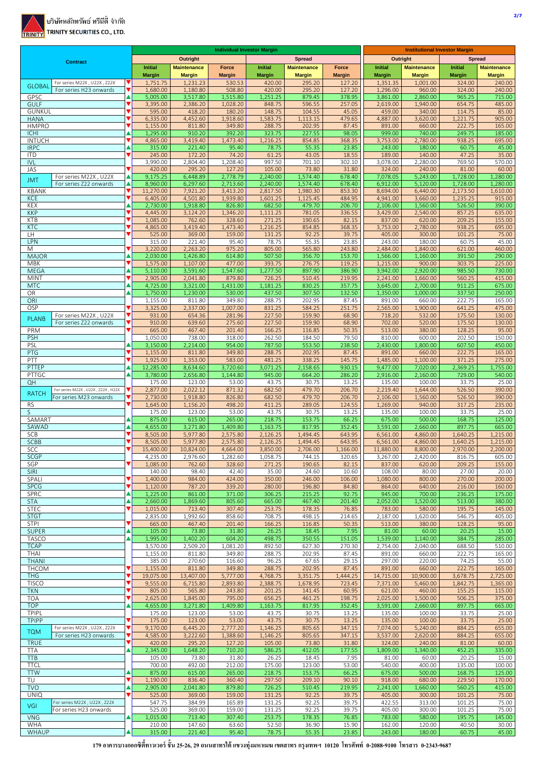

|                                                                     |                              | <b>Individual Investor Margin</b> |                           |                         |                         |                         | <b>Institutional Investor Margin</b> |                           |                           |                         |                         |
|---------------------------------------------------------------------|------------------------------|-----------------------------------|---------------------------|-------------------------|-------------------------|-------------------------|--------------------------------------|---------------------------|---------------------------|-------------------------|-------------------------|
| <b>Contract</b>                                                     |                              |                                   | <b>Outright</b>           |                         |                         | <b>Spread</b>           |                                      | Outright                  |                           |                         | <b>Spread</b>           |
|                                                                     |                              | <b>Initial</b>                    | <b>Maintenance</b>        | Force                   | Initial                 | <b>Maintenance</b>      | Force                                | Initial                   | <b>Maintenance</b>        | Initial                 | <b>Maintenance</b>      |
| For series M22X, U22X, Z22X                                         |                              | <b>Margin</b><br>1,751.75         | <b>Margin</b><br>1,231.23 | <b>Margin</b><br>530.53 | <b>Margin</b><br>420.00 | <b>Margin</b><br>295.20 | <b>Margin</b><br>127.20              | <b>Margin</b><br>1,351.35 | <b>Margin</b><br>1,001.00 | <b>Margin</b><br>324.00 | <b>Margin</b><br>240.00 |
| <b>GLOBAI</b><br>For series H23 onwards                             | ▼                            | 1,680.00                          | 1,180.80                  | 508.80                  | 420.00                  | 295.20                  | 127.20                               | 1,296.00                  | 960.00                    | 324.00                  | 240.00                  |
| GPSC                                                                |                              | 5,005.00                          | 3,517.80                  | 1,515.80                | 1,251.25                | 879.45                  | 378.95                               | 3,861.00                  | 2,860.00                  | 965.25                  | 715.00                  |
| <b>GULF</b><br><b>GUNKUL</b>                                        | $\overline{\mathbf{v}}$      | 3,395.00<br>595.00                | 2,386.20<br>418.20        | 1,028.20<br>180.20      | 848.75<br>148.75        | 596.55<br>104.55        | 257.05<br>45.05                      | 2,619.00<br>459.00        | 1,940.00<br>340.00        | 654.75<br>114.75        | 485.00<br>85.00         |
| <b>HANA</b>                                                         |                              | 6,335.00                          | 4,452.60                  | 1,918.60                | 1,583.75                | 1,113.15                | 479.65                               | 4,887.00                  | 3,620.00                  | 1,221.75                | 905.00                  |
| <b>HMPRO</b>                                                        | $\overline{\mathbf{v}}$      | 1,155.00                          | 811.80                    | 349.80                  | 288.75                  | 202.95                  | 87.45                                | 891.00                    | 660.00                    | 222.75                  | 165.00                  |
| <b>ICHI</b>                                                         |                              | 1,295.00                          | 910.20                    | 392.20                  | 323.75                  | 227.55                  | 98.05                                | 999.00                    | 740.00                    | 249.75                  | 185.00                  |
| <b>INTUCH</b><br><b>IRPC</b>                                        |                              | 4,865.00<br>315.00                | 3,419.40<br>221.40        | 1,473.40<br>95.40       | 1,216.25<br>78.75       | 854.85<br>55.35         | 368.35<br>23.85                      | 3,753.00<br>243.00        | 2,780.00<br>180.00        | 938.25<br>60.75         | 695.00<br>45.00         |
| <b>ITD</b>                                                          |                              | 245.00                            | 172.20                    | 74.20                   | 61.25                   | 43.05                   | 18.55                                | 189.00                    | 140.00                    | 47.25                   | 35.00                   |
| <b>IVL</b>                                                          |                              | 3,990.00                          | 2,804.40                  | 1,208.40                | 997.50                  | 701.10                  | 302.10                               | 3,078.00                  | 2,280.00                  | 769.50                  | 570.00                  |
| JAS                                                                 |                              | 420.00                            | 295.20                    | 127.20                  | 105.00                  | 73.80                   | 31.80                                | 324.00                    | 240.00                    | 81.00                   | 60.00                   |
| For series M22X, U22X<br><b>JMT</b><br>For series Z22 onwards       | ▲<br>▲                       | 9,175.25<br>8,960.00              | 6,448.89<br>6,297.60      | 2,778.79<br>2,713.60    | 2,240.00<br>2,240.00    | 1,574.40<br>1,574.40    | 678.40<br>678.40                     | 7,078.05<br>6,912.00      | 5,243.00<br>5,120.00      | 1,728.00<br>1,728.00    | 1,280.00<br>1,280.00    |
| <b>KBANK</b>                                                        | $\overline{\textbf{v}}$      | 11,270.00                         | 7,921.20                  | 3,413.20                | 2,817.50                | 1,980.30                | 853.30                               | 8,694.00                  | 6,440.00                  | 2,173.50                | 1,610.00                |
| <b>KCE</b>                                                          | ▼                            | 6,405.00                          | 4,501.80                  | 1,939.80                | 1,601.25                | 1,125.45                | 484.95                               | 4,941.00                  | 3,660.00                  | 1,235.25                | 915.00                  |
| KEX                                                                 |                              | 2,730.00                          | 1,918.80                  | 826.80                  | 682.50                  | 479.70                  | 206.70                               | 2,106.00                  | 1,560.00                  | 526.50                  | 390.00                  |
| <b>KKP</b><br><b>KTB</b>                                            | $\overline{\mathbf{v}}$      | 4,445.00<br>1,085.00              | 3,124.20<br>762.60        | 1,346.20<br>328.60      | 1,111.25<br>271.25      | 781.05<br>190.65        | 336.55<br>82.15                      | 3,429.00<br>837.00        | 2,540.00<br>620.00        | 857.25<br>209.25        | 635.00<br>155.00        |
| <b>KTC</b>                                                          | ▼                            | 4,865.00                          | 3,419.40                  | 1,473.40                | 1,216.25                | 854.85                  | 368.35                               | 3,753.00                  | 2,780.00                  | 938.25                  | 695.00                  |
| LH                                                                  |                              | 525.00                            | 369.00                    | 159.00                  | 131.25                  | 92.25                   | 39.75                                | 405.00                    | 300.00                    | 101.25                  | 75.00                   |
| LPN                                                                 |                              | 315.00                            | 221.40                    | 95.40                   | 78.75                   | 55.35                   | 23.85                                | 243.00                    | 180.00                    | 60.75                   | 45.00                   |
| Μ<br><b>MAJOR</b>                                                   |                              | 3,220.00<br>2,030.00              | 2,263.20<br>1,426.80      | 975.20<br>614.80        | 805.00<br>507.50        | 565.80<br>356.70        | 243.80<br>153.70                     | 2,484.00<br>1,566.00      | 1,840.00<br>1,160.00      | 621.00<br>391.50        | 460.00<br>290.00        |
| <b>MBK</b>                                                          | $\overline{\textbf{v}}$      | 1,575.00                          | 1,107.00                  | 477.00                  | 393.75                  | 276.75                  | 119.25                               | 1,215.00                  | 900.00                    | 303.75                  | 225.00                  |
| <b>MEGA</b>                                                         |                              | 5,110.00                          | 3,591.60                  | 1,547.60                | 1,277.50                | 897.90                  | 386.90                               | 3,942.00                  | 2,920.00                  | 985.50                  | 730.00                  |
| <b>MINT</b>                                                         |                              | 2,905.00                          | 2,041.80                  | 879.80                  | 726.25                  | 510.45                  | 219.95                               | 2,241.00                  | 1,660.00                  | 560.25                  | 415.00                  |
| <b>MTC</b><br>OR                                                    |                              | 4,725.00                          | 3,321.00                  | 1,431.00                | 1,181.25                | 830.25                  | 357.75                               | 3,645.00                  | 2,700.00                  | 911.25                  | 675.00                  |
| ORI                                                                 |                              | 1,750.00<br>1,155.00              | 1,230.00<br>811.80        | 530.00<br>349.80        | 437.50<br>288.75        | 307.50<br>202.95        | 132.50<br>87.45                      | 1,350.00<br>891.00        | 1,000.00<br>660.00        | 337.50<br>222.75        | 250.00<br>165.00        |
| OSP                                                                 | $\overline{\textbf{v}}$      | 3,325.00                          | 2,337.00                  | 1,007.00                | 831.25                  | 584.25                  | 251.75                               | 2,565.00                  | 1,900.00                  | 641.25                  | 475.00                  |
| For series M22X, U22X<br><b>PLANB</b>                               |                              | 931.00                            | 654.36                    | 281.96                  | 227.50                  | 159.90                  | 68.90                                | 718.20                    | 532.00                    | 175.50                  | 130.00                  |
| For series Z22 onwards                                              | $\overline{\mathbf{v}}$      | 910.00                            | 639.60                    | 275.60                  | 227.50                  | 159.90                  | 68.90                                | 702.00                    | 520.00                    | 175.50                  | 130.00                  |
| PRM                                                                 |                              | 665.00<br>1,050.00                | 467.40<br>738.00          | 201.40<br>318.00        | 166.25<br>262.50        | 116.85<br>184.50        | 50.35<br>79.50                       | 513.00<br>810.00          | 380.00<br>600.00          | 128.25<br>202.50        | 95.00<br>150.00         |
| <b>PSH</b><br>PSL                                                   |                              | 3,150.00                          | 2,214.00                  | 954.00                  | 787.50                  | 553.50                  | 238.50                               | 2,430.00                  | 1,800.00                  | 607.50                  | 450.00                  |
| PTG                                                                 |                              | 1,155.00                          | 811.80                    | 349.80                  | 288.75                  | 202.95                  | 87.45                                | 891.00                    | 660.00                    | 222.75                  | 165.00                  |
| PTT                                                                 |                              | 1,925.00                          | 1,353.00                  | 583.00                  | 481.25                  | 338.25                  | 145.75                               | 1,485.00                  | 1,100.00                  | 371.25                  | 275.00                  |
| PTTEP                                                               |                              | 12,285.00                         | 8,634.60                  | 3,720.60                | 3,071.25                | 2,158.65                | 930.15                               | 9,477.00                  | 7,020.00                  | 2,369.25                | 1,755.00                |
| PTTGC<br>QH                                                         |                              | 3,780.00                          | 2,656.80                  | 1,144.80                | 945.00<br>43.75         | 664.20<br>30.75         | 286.20                               | 2,916.00                  | 2,160.00<br>100.00        | 729.00                  | 540.00                  |
| For series M22X, U22X, Z22X, H22X                                   |                              | 175.00<br>2,877.00                | 123.00<br>2,022.12        | 53.00<br>871.32         | 682.50                  | 479.70                  | 13.25<br>206.70                      | 135.00<br>2,219.40        | 1,644.00                  | 33.75<br>526.50         | 25.00<br>390.00         |
| <b>RATCH</b><br>For series M23 onwards                              |                              | 2,730.00                          | 1,918.80                  | 826.80                  | 682.50                  | 479.70                  | 206.70                               | 2,106.00                  | 1,560.00                  | 526.50                  | 390.00                  |
| <b>RS</b>                                                           |                              | 1,645.00                          | 1,156.20                  | 498.20                  | 411.25                  | 289.05                  | 124.55                               | 1,269.00                  | 940.00                    | 317.25                  | 235.00                  |
| S                                                                   |                              | 175.00                            | 123.00                    | 53.00                   | 43.75                   | 30.75                   | 13.25                                | 135.00                    | 100.00                    | 33.75                   | 25.00                   |
| SAMART<br>SAWAD                                                     |                              | 875.00<br>4,655.00                | 615.00<br>3,271.80        | 265.00<br>1,409.80      | 218.75<br>1,163.75      | 153.75<br>817.95        | 66.25<br>352.45                      | 675.00<br>3,591.00        | 500.00<br>2,660.00        | 168.75<br>897.75        | 125.00<br>665.00        |
| SCB                                                                 |                              | 8,505.00                          | 5,977.80                  | 2,575.80                | 2,126.25                | 1,494.45                | 643.95                               | 6,561.00                  | 4,860.00                  | 1,640.25                | 1,215.00                |
| <b>SCBB</b>                                                         |                              | 8,505.00                          | 5,977.80                  | 2,575.80                | 2,126.25                | 1,494.45                | 643.95                               | 6,561.00                  | 4,860.00                  | 1,640.25                | 1,215.00                |
| SCC                                                                 |                              | 15,400.00                         | 10,824.00                 | 4,664.00                | 3,850.00                | 2,706.00                | 1,166.00                             | 11,880.00                 | 8,800.00                  | 2,970.00                | 2,200.00                |
| <b>SCGP</b><br>SGP                                                  |                              | 4,235.00                          | 2,976.60                  | 1,282.60                | 1,058.75                | 744.15                  | 320.65                               | 3,267.00                  | 2,420.00                  | 816.75                  | 605.00                  |
| <b>SIRI</b>                                                         |                              | 1,085.00<br>140.00                | 762.60<br>98.40           | 328.60<br>42.40         | 271.25<br>35.00         | 190.65<br>24.60         | 82.15<br>10.60                       | 837.00<br>108.00          | 620.00<br>80.00           | 209.25<br>27.00         | 155.00<br>20.00         |
| SPALI                                                               | ▼                            | 1,400.00                          | 984.00                    | 424.00                  | 350.00                  | 246.00                  | 106.00                               | 1,080.00                  | 800.00                    | 270.00                  | 200.00                  |
| <b>SPCG</b>                                                         | ▼                            | 1,120.00                          | 787.20                    | 339.20                  | 280.00                  | 196.80                  | 84.80                                | 864.00                    | 640.00                    | 216.00                  | 160.00                  |
| SPRC                                                                |                              | 1,225.00                          | 861.00                    | 371.00                  | 306.25                  | 215.25                  | 92.75                                | 945.00                    | 700.00                    | 236.25                  | 175.00                  |
| <b>STA</b><br><b>STEC</b>                                           | ▲<br>$\overline{\mathbf{v}}$ | 2,660.00<br>1,015.00              | 1,869.60<br>713.40        | 805.60<br>307.40        | 665.00<br>253.75        | 467.40<br>178.35        | 201.40<br>76.85                      | 2,052.00<br>783.00        | 1,520.00<br>580.00        | 513.00<br>195.75        | 380.00<br>145.00        |
| <b>STGT</b>                                                         |                              | 2,835.00                          | 1,992.60                  | 858.60                  | 708.75                  | 498.15                  | 214.65                               | 2,187.00                  | 1,620.00                  | 546.75                  | 405.00                  |
| <b>STPI</b>                                                         | ▼                            | 665.00                            | 467.40                    | 201.40                  | 166.25                  | 116.85                  | 50.35                                | 513.00                    | 380.00                    | 128.25                  | 95.00                   |
| <b>SUPER</b>                                                        | ▲                            | 105.00                            | 73.80                     | 31.80                   | 26.25                   | 18.45                   | 7.95                                 | 81.00                     | 60.00                     | 20.25                   | 15.00                   |
| <b>TASCO</b><br><b>TCAP</b>                                         |                              | 1,995.00<br>3,570.00              | 1,402.20<br>2,509.20      | 604.20<br>1,081.20      | 498.75<br>892.50        | 350.55<br>627.30        | 151.05<br>270.30                     | 1,539.00<br>2,754.00      | 1,140.00<br>2,040.00      | 384.75<br>688.50        | 285.00<br>510.00        |
| THAI                                                                |                              | 1,155.00                          | 811.80                    | 349.80                  | 288.75                  | 202.95                  | 87.45                                | 891.00                    | 660.00                    | 222.75                  | 165.00                  |
| <b>THANI</b>                                                        |                              | 385.00                            | 270.60                    | 116.60                  | 96.25                   | 67.65                   | 29.15                                | 297.00                    | 220.00                    | 74.25                   | 55.00                   |
| THCOM                                                               |                              | 1,155.00                          | 811.80                    | 349.80                  | 288.75                  | 202.95                  | 87.45                                | 891.00                    | 660.00                    | 222.75                  | 165.00                  |
| THG                                                                 | ▼<br>$\overline{\textbf{v}}$ | 19,075.00                         | 13,407.00                 | 5,777.00                | 4,768.75                | 3,351.75                | 1,444.25                             | 14,715.00                 | 10,900.00                 | 3,678.75                | 2,725.00                |
| <b>TISCO</b><br><b>TKN</b>                                          |                              | 9,555.00<br>805.00                | 6,715.80<br>565.80        | 2,893.80<br>243.80      | 2,388.75<br>201.25      | 1,678.95<br>141.45      | 723.45<br>60.95                      | 7,371.00<br>621.00        | 5,460.00<br>460.00        | 1,842.75<br>155.25      | 1,365.00<br>115.00      |
| <b>TOA</b>                                                          |                              | 2,625.00                          | 1,845.00                  | 795.00                  | 656.25                  | 461.25                  | 198.75                               | 2,025.00                  | 1,500.00                  | 506.25                  | 375.00                  |
| <b>TOP</b>                                                          |                              | 4,655.00                          | 3,271.80                  | 1,409.80                | 1,163.75                | 817.95                  | 352.45                               | 3,591.00                  | 2,660.00                  | 897.75                  | 665.00                  |
| TPIPL                                                               |                              | 175.00                            | 123.00                    | 53.00                   | 43.75                   | 30.75                   | 13.25                                | 135.00                    | 100.00                    | 33.75                   | 25.00                   |
| <b>TPIPP</b>                                                        | ▼                            | 175.00                            | 123.00                    | 53.00                   | 43.75                   | 30.75                   | 13.25                                | 135.00                    | 100.00                    | 33.75                   | 25.00                   |
| For series M22X, U22X, Z22X<br><b>TQM</b><br>For series H23 onwards | $\overline{\textbf{v}}$      | 9,170.00<br>4,585.00              | 6,445.20<br>3,222.60      | 2,777.20<br>1,388.60    | 1,146.25<br>1,146.25    | 805.65<br>805.65        | 347.15<br>347.15                     | 7,074.00<br>3,537.00      | 5,240.00<br>2,620.00      | 884.25<br>884.25        | 655.00<br>655.00        |
| <b>TRUE</b>                                                         | ▼                            | 420.00                            | 295.20                    | 127.20                  | 105.00                  | 73.80                   | 31.80                                | 324.00                    | 240.00                    | 81.00                   | 60.00                   |
| <b>TTA</b>                                                          |                              | 2,345.00                          | 1,648.20                  | 710.20                  | 586.25                  | 412.05                  | 177.55                               | 1,809.00                  | 1,340.00                  | 452.25                  | 335.00                  |
| <b>TTB</b>                                                          |                              | 105.00                            | 73.80                     | 31.80                   | 26.25                   | 18.45                   | 7.95                                 | 81.00                     | 60.00                     | 20.25                   | 15.00                   |
| <b>TTCL</b><br><b>TTW</b>                                           |                              | 700.00<br>875.00                  | 492.00<br>615.00          | 212.00<br>265.00        | 175.00<br>218.75        | 123.00<br>153.75        | 53.00<br>66.25                       | 540.00<br>675.00          | 400.00<br>500.00          | 135.00<br>168.75        | 100.00<br>125.00        |
| TU                                                                  | ▲<br>▼                       | 1,190.00                          | 836.40                    | 360.40                  | 297.50                  | 209.10                  | 90.10                                | 918.00                    | 680.00                    | 229.50                  | 170.00                  |
| <b>TVO</b>                                                          |                              | 2,905.00                          | 2,041.80                  | 879.80                  | 726.25                  | 510.45                  | 219.95                               | 2,241.00                  | 1,660.00                  | 560.25                  | 415.00                  |
| <b>UNIQ</b>                                                         |                              | 525.00                            | 369.00                    | 159.00                  | 131.25                  | 92.25                   | 39.75                                | 405.00                    | 300.00                    | 101.25                  | 75.00                   |
| For series M22X, U22X, Z22X<br>VGI                                  |                              | 547.75                            | 384.99                    | 165.89                  | 131.25                  | 92.25                   | 39.75                                | 422.55                    | 313.00                    | 101.25                  | 75.00                   |
| For series H23 onwards<br><b>VNG</b>                                |                              | 525.00<br>1,015.00                | 369.00<br>713.40          | 159.00<br>307.40        | 131.25<br>253.75        | 92.25<br>178.35         | 39.75<br>76.85                       | 405.00<br>783.00          | 300.00<br>580.00          | 101.25<br>195.75        | 75.00<br>145.00         |
| <b>WHA</b>                                                          |                              | 210.00                            | 147.60                    | 63.60                   | 52.50                   | 36.90                   | 15.90                                | 162.00                    | 120.00                    | 40.50                   | 30.00                   |
| <b>WHAUP</b>                                                        |                              | 315.00                            | 221.40                    | 95.40                   | 78.75                   | 55.35                   | 23.85                                | 243.00                    | 180.00                    | 60.75                   | 45.00                   |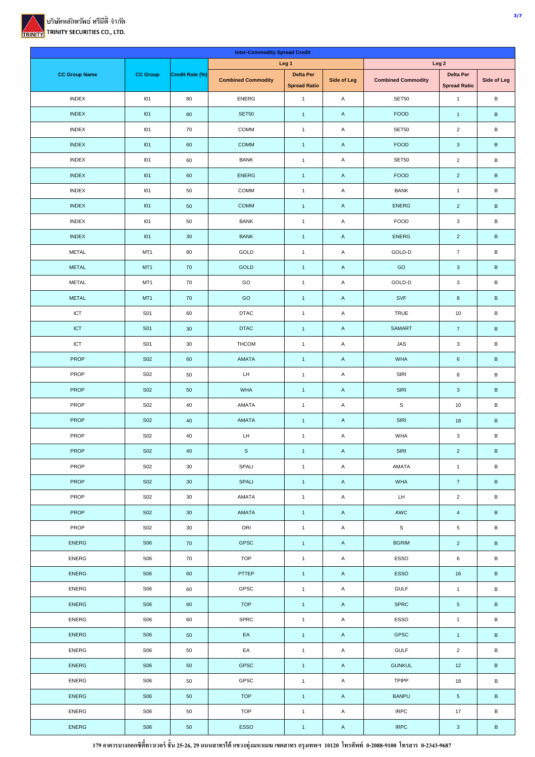

|                      |                 |                 | <b>Inter-Commodity Spread Credit</b> |                                         |                    |                           |                                         |                 |  |
|----------------------|-----------------|-----------------|--------------------------------------|-----------------------------------------|--------------------|---------------------------|-----------------------------------------|-----------------|--|
|                      |                 |                 |                                      | Leg <sub>1</sub>                        |                    | Leg <sub>2</sub>          |                                         |                 |  |
| <b>CC Group Name</b> | <b>CC Group</b> | Credit Rate (%) | <b>Combined Commodity</b>            | <b>Delta Per</b><br><b>Spread Ratio</b> | <b>Side of Leg</b> | <b>Combined Commodity</b> | <b>Delta Per</b><br><b>Spread Ratio</b> | Side of Leg     |  |
| <b>INDEX</b>         | 101             | 80              | <b>ENERG</b>                         | $\mathbf{1}$                            | A                  | SET50                     | $\mathbf{1}$                            | $\, {\bf B}$    |  |
| <b>INDEX</b>         | I <sub>01</sub> | 80              | <b>SET50</b>                         | $\mathbf{1}$                            | $\mathsf{A}$       | <b>FOOD</b>               | $\overline{1}$                          | $\sf B$         |  |
| <b>INDEX</b>         | 101             | 70              | COMM                                 | $\mathbf{1}$                            | A                  | SET50                     | $\overline{2}$                          | B               |  |
| <b>INDEX</b>         | I <sub>01</sub> | 60              | <b>COMM</b>                          | $\mathbf{1}$                            | $\mathsf{A}$       | <b>FOOD</b>               | $\mathbf{3}$                            | $\, {\bf B}$    |  |
| <b>INDEX</b>         | 101             | 60              | <b>BANK</b>                          | $\mathbf{1}$                            | A                  | SET50                     | $\overline{c}$                          | B               |  |
| <b>INDEX</b>         | I <sub>01</sub> | 60              | <b>ENERG</b>                         | $\mathbf{1}$                            | A                  | <b>FOOD</b>               | $\overline{2}$                          | $\, {\bf B}$    |  |
| <b>INDEX</b>         | 101             | 50              | COMM                                 | $\mathbf{1}$                            | A                  | <b>BANK</b>               | $\mathbf{1}$                            | B               |  |
| <b>INDEX</b>         | I <sub>01</sub> | 50              | COMM                                 | $\mathbf{1}$                            | $\mathsf{A}$       | <b>ENERG</b>              | $\overline{a}$                          | $\sf B$         |  |
| <b>INDEX</b>         | 101             | 50              | <b>BANK</b>                          | $\mathbf{1}$                            | A                  | FOOD                      | $\mathbf 3$                             | $\, {\bf B}$    |  |
| <b>INDEX</b>         | I <sub>01</sub> | $30\,$          | <b>BANK</b>                          | $\mathbf{1}$                            | A                  | <b>ENERG</b>              | $\overline{2}$                          | $\, {\bf B}$    |  |
| <b>METAL</b>         | MT1             | 80              | GOLD                                 | $\mathbf{1}$                            | A                  | GOLD-D                    | $\overline{7}$                          | В               |  |
| <b>METAL</b>         | MT <sub>1</sub> | 70              | GOLD                                 | $\mathbf{1}$                            | $\mathsf{A}$       | GO                        | $\mathbf{3}$                            | $\sf B$         |  |
| <b>METAL</b>         | MT1             | 70              | GO                                   | $\mathbf{1}$                            | A                  | GOLD-D                    | $_{\rm 3}$                              | B               |  |
| <b>METAL</b>         | MT <sub>1</sub> | 70              | GO                                   | $\mathbf{1}$                            | $\mathsf{A}$       | SVF                       | $\bf 8$                                 | $\sf B$         |  |
| ICT                  | S01             | 60              | <b>DTAC</b>                          | $\mathbf{1}$                            | A                  | TRUE                      | $10\,$                                  | B               |  |
| <b>ICT</b>           | <b>S01</b>      | $30\,$          | <b>DTAC</b>                          | $\mathbf{1}$                            | $\mathsf{A}$       | SAMART                    | $\overline{7}$                          | $\, {\bf B}$    |  |
| ICT                  | S01             | 30              | <b>THCOM</b>                         | $\mathbf{1}$                            | A                  | <b>JAS</b>                | $\mathbf{3}$                            | B               |  |
| <b>PROP</b>          | <b>S02</b>      | 60              | AMATA                                | $\mathbf{1}$                            | $\mathsf{A}$       | <b>WHA</b>                | $\,6\,$                                 | $\mathsf B$     |  |
| PROP                 | <b>S02</b>      | 50              | LH                                   | $\mathbf{1}$                            | A                  | SIRI                      | 8                                       | B               |  |
| <b>PROP</b>          | <b>S02</b>      | 50              | <b>WHA</b>                           | $\mathbf{1}$                            | A                  | <b>SIRI</b>               | $\mathbf 3$                             | $\, {\bf B}$    |  |
| PROP                 | <b>S02</b>      | 40              | AMATA                                | $\mathbf{1}$                            | A                  | $\mathbb S$               | $10\,$                                  | B               |  |
| PROP                 | <b>S02</b>      | 40              | AMATA                                | $\mathbf{1}$                            | $\mathsf{A}$       | <b>SIRI</b>               | 18                                      | $\sf B$         |  |
| PROP                 | <b>S02</b>      | 40              | LH                                   | $\mathbf{1}$                            | Α                  | <b>WHA</b>                | $\mathbf 3$                             | B               |  |
| PROP                 | <b>S02</b>      | 40              | $\mathbb S$                          | $\overline{1}$                          | $\mathsf{A}$       | SIRI                      | $\overline{2}$                          | $\, {\bf B}$    |  |
| PROP                 | <b>S02</b>      | $30\,$          | SPALI                                | $\mathbf{1}$                            | $\mathsf A$        | AMATA                     | $\mathbf{1}$                            | В               |  |
| <b>PROP</b>          | <b>S02</b>      | 30              | SPALI                                | $\mathbf{1}$                            | $\mathsf{A}$       | WHA                       | $\mathbf 7$                             | $\, {\bf B} \,$ |  |
| PROP                 | <b>S02</b>      | 30              | AMATA                                | $\mathbf{1}$                            | A                  | $\mathsf{L}\mathsf{H}$    | $\overline{2}$                          | В               |  |
| PROP                 | <b>S02</b>      | 30              | AMATA                                | $\overline{1}$                          | $\mathsf{A}$       | AWC                       | $\overline{4}$                          | $\, {\bf B}$    |  |
| PROP                 | <b>S02</b>      | 30              | ORI                                  | $\mathbf{1}$                            | A                  | S                         | $\,$ 5 $\,$                             | В               |  |
| <b>ENERG</b>         | <b>S06</b>      | 70              | GPSC                                 | $\mathbf{1}$                            | $\mathsf{A}$       | <b>BGRIM</b>              | $\overline{2}$                          | B               |  |
| <b>ENERG</b>         | <b>S06</b>      | 70              | <b>TOP</b>                           | $\mathbf{1}$                            | A                  | ESSO                      | $\,6\,$                                 | В               |  |
| ENERG                | <b>S06</b>      | 60              | PTTEP                                | $\mathbf{1}$                            | $\mathsf{A}$       | ESSO                      | $16\,$                                  | $\, {\bf B} \,$ |  |
| ENERG                | <b>S06</b>      | 60              | GPSC                                 | $\mathbf{1}$                            | A                  | GULF                      | $\mathbf{1}$                            | В               |  |
| <b>ENERG</b>         | <b>S06</b>      | 60              | <b>TOP</b>                           | $\mathbf{1}$                            | $\mathsf A$        | SPRC                      | $\sqrt{5}$                              | $\, {\bf B}$    |  |
| ENERG                | <b>S06</b>      | 60              | SPRC                                 | $\mathbf{1}$                            | A                  | ESSO                      | $\mathbf{1}$                            | В               |  |
| <b>ENERG</b>         | <b>S06</b>      | 50              | EA                                   | $\overline{1}$                          | $\mathsf{A}$       | <b>GPSC</b>               | $\overline{1}$                          | $\, {\bf B} \,$ |  |
| ENERG                | <b>S06</b>      | 50              | EA                                   | $\mathbf{1}$                            | A                  | GULF                      | $\mathbf 2$                             | В               |  |
| ENERG                | <b>S06</b>      | 50              | GPSC                                 | $\mathbf{1}$                            | $\mathsf{A}$       | <b>GUNKUL</b>             | $12$                                    | $\, {\bf B} \,$ |  |
| ENERG                | <b>S06</b>      | 50              | GPSC                                 | $\mathbf{1}$                            | A                  | <b>TPIPP</b>              | $18\,$                                  | В               |  |
| ENERG                | <b>S06</b>      | $50\,$          | <b>TOP</b>                           | $\mathbf{1}$                            | $\mathsf A$        | <b>BANPU</b>              | $\sqrt{5}$                              | $\, {\bf B} \,$ |  |
| ENERG                | <b>S06</b>      | 50              | <b>TOP</b>                           | $\mathbf{1}$                            | $\mathsf A$        | <b>IRPC</b>               | 17                                      | В               |  |
| ENERG                | <b>S06</b>      | 50              | ESSO                                 | $\vert$ 1                               | $\mathsf A$        | <b>IRPC</b>               | $\mathbf{3}$                            | $\, {\bf B}$    |  |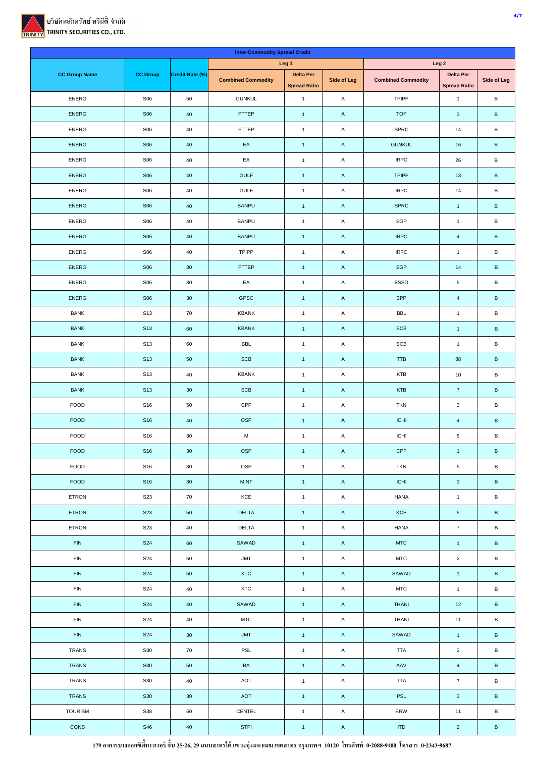

|                      |                 |                 | <b>Inter-Commodity Spread Credit</b> |                                         |                    |                             |                                         |                 |  |
|----------------------|-----------------|-----------------|--------------------------------------|-----------------------------------------|--------------------|-----------------------------|-----------------------------------------|-----------------|--|
|                      |                 |                 |                                      | Leg <sub>1</sub>                        |                    | Leg <sub>2</sub>            |                                         |                 |  |
| <b>CC Group Name</b> | <b>CC Group</b> | Credit Rate (%) | <b>Combined Commodity</b>            | <b>Delta Per</b><br><b>Spread Ratio</b> | <b>Side of Leg</b> | <b>Combined Commodity</b>   | <b>Delta Per</b><br><b>Spread Ratio</b> | Side of Leg     |  |
| <b>ENERG</b>         | <b>S06</b>      | 50              | <b>GUNKUL</b>                        | $\mathbf{1}$                            | A                  | <b>TPIPP</b>                | $\mathbf{1}$                            | B               |  |
| <b>ENERG</b>         | <b>S06</b>      | 40              | PTTEP                                | $\mathbf{1}$                            | $\mathsf{A}$       | <b>TOP</b>                  | $\mathbf{3}$                            | $\sf B$         |  |
| <b>ENERG</b>         | <b>S06</b>      | 40              | PTTEP                                | $\mathbf{1}$                            | A                  | SPRC                        | 14                                      | B               |  |
| <b>ENERG</b>         | <b>S06</b>      | 40              | EA                                   | $\mathbf{1}$                            | A                  | <b>GUNKUL</b>               | $16\,$                                  | $\,$ B          |  |
| <b>ENERG</b>         | <b>S06</b>      | 40              | EA                                   | $\mathbf{1}$                            | A                  | <b>IRPC</b>                 | 26                                      | B               |  |
| <b>ENERG</b>         | <b>S06</b>      | 40              | <b>GULF</b>                          | $\mathbf{1}$                            | A                  | <b>TPIPP</b>                | 13                                      | $\, {\bf B}$    |  |
| <b>ENERG</b>         | <b>S06</b>      | 40              | <b>GULF</b>                          | $\mathbf{1}$                            | Α                  | <b>IRPC</b>                 | 14                                      | B               |  |
| <b>ENERG</b>         | <b>S06</b>      | 40              | <b>BANPU</b>                         | $\mathbf{1}$                            | A                  | <b>SPRC</b>                 | $\overline{1}$                          | $\sf B$         |  |
| <b>ENERG</b>         | <b>S06</b>      | 40              | <b>BANPU</b>                         | $\mathbf{1}$                            | A                  | SGP                         | $\mathbf{1}$                            | B               |  |
| <b>ENERG</b>         | <b>S06</b>      | 40              | <b>BANPU</b>                         | $\mathbf{1}$                            | $\mathsf{A}$       | <b>IRPC</b>                 | $\overline{4}$                          | $\sf B$         |  |
| <b>ENERG</b>         | <b>S06</b>      | 40              | <b>TPIPP</b>                         | $\mathbf{1}$                            | A                  | <b>IRPC</b>                 | $\overline{1}$                          | $\, {\bf B}$    |  |
| <b>ENERG</b>         | <b>S06</b>      | 30              | PTTEP                                | $\mathbf{1}$                            | A                  | <b>SGP</b>                  | 14                                      | $\sf B$         |  |
| ENERG                | <b>S06</b>      | $30\,$          | EA                                   | $\mathbf{1}$                            | A                  | ESSO                        | 9                                       | B               |  |
| <b>ENERG</b>         | <b>S06</b>      | $30\,$          | GPSC                                 | $\mathbf{1}$                            | $\mathsf{A}$       | <b>BPP</b>                  | $\overline{4}$                          | $\, {\bf B}$    |  |
| <b>BANK</b>          | S <sub>13</sub> | 70              | <b>KBANK</b>                         | $\mathbf{1}$                            | A                  | BBL                         | $\mathbf{1}$                            | $\sf B$         |  |
| <b>BANK</b>          | <b>S13</b>      | 60              | <b>KBANK</b>                         | $\mathbf{1}$                            | $\mathsf{A}$       | <b>SCB</b>                  | $\overline{1}$                          | $\, {\bf B}$    |  |
| <b>BANK</b>          | S <sub>13</sub> | 60              | <b>BBL</b>                           | $\mathbf{1}$                            | Α                  | <b>SCB</b>                  | $\mathbf{1}$                            | B               |  |
| <b>BANK</b>          | <b>S13</b>      | 50              | <b>SCB</b>                           | $\mathbf{1}$                            | $\mathsf{A}$       | <b>TTB</b>                  | 88                                      | В               |  |
| <b>BANK</b>          | S <sub>13</sub> | 40              | <b>KBANK</b>                         | $\mathbf{1}$                            | A                  | KTB                         | $10$                                    | B               |  |
| <b>BANK</b>          | S <sub>13</sub> | 30              | <b>SCB</b>                           | $\mathbf{1}$                            | $\mathsf{A}$       | <b>KTB</b>                  | $\overline{7}$                          | $\, {\sf B}$    |  |
| FOOD                 | S16             | 50              | CPF                                  | $\mathbf{1}$                            | A                  | <b>TKN</b>                  | $\mathsf 3$                             | B               |  |
| <b>FOOD</b>          | <b>S16</b>      | 40              | <b>OSP</b>                           | $\mathbf{1}$                            | $\mathsf{A}$       | <b>ICHI</b>                 | $\overline{4}$                          | $\sf B$         |  |
| <b>FOOD</b>          | S16             | 30              | ${\sf M}$                            | $\mathbf{1}$                            | Α                  | ICHI                        | $\,$ 5 $\,$                             | B               |  |
| <b>FOOD</b>          | <b>S16</b>      | $30\,$          | OSP                                  | $1 -$                                   | $\mathsf{A}$       | CPF                         | $\overline{1}$                          | B               |  |
| FOOD                 | S16             | 30              | OSP                                  | $\mathbf{1}$                            | $\mathsf A$        | TKN                         | ${\bf 5}$                               | В               |  |
| FOOD                 | <b>S16</b>      | 30              | <b>MINT</b>                          | $\mathbf{1}$                            | $\mathsf{A}$       | <b>ICHI</b>                 | $\mathbf{3}$                            | $\, {\bf B} \,$ |  |
| ETRON                | S23             | 70              | KCE                                  | $\overline{1}$                          | $\mathsf A$        | HANA                        | $\mathbf{1}$                            | В               |  |
| ETRON                | <b>S23</b>      | 50              | <b>DELTA</b>                         | $\mathbf{1}$                            | $\mathsf A$        | KCE                         | ${\bf 5}$                               | $\, {\bf B} \,$ |  |
| ETRON                | S23             | 40              | <b>DELTA</b>                         | $\mathbf{1}$                            | A                  | HANA                        | $\boldsymbol{7}$                        | В               |  |
| <b>FIN</b>           | <b>S24</b>      | 60              | SAWAD                                | $\overline{1}$                          | $\mathsf{A}$       | <b>MTC</b>                  | $\mathbf{1}$                            | $\, {\bf B} \,$ |  |
| <b>FIN</b>           | S24             | 50              | <b>JMT</b>                           | $\mathbf{1}$                            | $\mathsf A$        | <b>MTC</b>                  | $\overline{2}$                          | В               |  |
| <b>FIN</b>           | <b>S24</b>      | 50              | KTC                                  | $\overline{1}$                          | $\mathsf{A}$       | SAWAD                       | $\mathbf{1}$                            | $\, {\bf B} \,$ |  |
| FIN                  | <b>S24</b>      | $40\,$          | KTC                                  | $\mathbf{1}$                            | A                  | <b>MTC</b>                  | $\mathbf{1}$                            | В               |  |
| <b>FIN</b>           | <b>S24</b>      | 40              | SAWAD                                | $\vert$ 1                               | $\mathsf A$        | <b>THANI</b>                | $12$                                    | $\, {\bf B} \,$ |  |
| FIN                  | S24             | $40\,$          | <b>MTC</b>                           | $\mathbf{1}$                            | $\mathsf A$        | THANI                       | $11$                                    | В               |  |
| <b>FIN</b>           | <b>S24</b>      | 30              | <b>JMT</b>                           | $\overline{1}$                          | $\mathsf{A}$       | SAWAD                       | $\mathbf{1}$                            | $\, {\bf B} \,$ |  |
| TRANS                | S30             | 70              | PSL                                  | $\mathbf{1}$                            | A                  | <b>TTA</b>                  | $\mathbf 2$                             | В               |  |
| <b>TRANS</b>         | <b>S30</b>      | $50\,$          | $\mathsf{BA}$                        | $\vert$ 1                               | $\mathsf{A}$       | AAV                         | $\overline{4}$                          | $\, {\bf B} \,$ |  |
| TRANS                | <b>S30</b>      | $40\,$          | AOT                                  | $\mathbf{1}$                            | A                  | <b>TTA</b>                  | $\scriptstyle\rm 7$                     | $\mathsf B$     |  |
| TRANS                | <b>S30</b>      | 30              | AOT                                  | $\vert$ 1                               | $\mathsf A$        | PSL                         | $\mathbf{3}$                            | B               |  |
| <b>TOURISM</b>       | <b>S38</b>      | $50\,$          | CENTEL                               | $\overline{1}$                          | $\mathsf{A}$       | ERW                         | $11$                                    | В               |  |
| CONS                 | <b>S46</b>      | 40              | <b>STPI</b>                          | $\vert 1 \vert$                         | $\mathsf A$        | $\ensuremath{\mathsf{ITD}}$ | $\overline{2}$                          | $\sf B$         |  |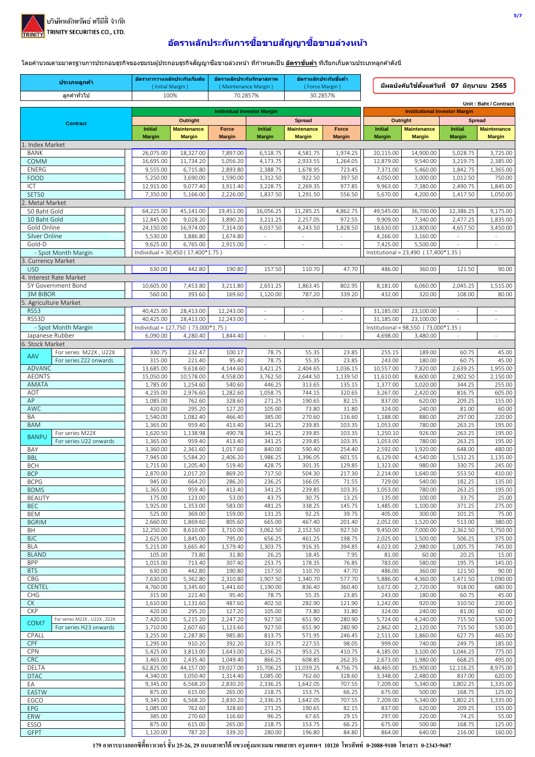

## ้อัตราหลักประกันการชื้อขายสัญญาชื้อขายล่วงหน้า

์ โดยคำนวณตามมาตรฐานการประกอบธุรกิจของชมรมผู้ประกอบธุรกิจสัญญาซื้อขายล่วงหน้า ที่กำหนดเป็น <u>อั<mark>ตราขั้นต่ำ</mark> </u>ที่เรียกเก็บตามประเภทลูกค้าดังนี้

|                              | ประเภทลูกค้า                                          | (Initial Margin)       | อัตราการวางหลักประกันเริ่มต้น      | อัตราหลักประกันรักษาสภาพ<br>(Maintenance Margin) |                      | อัตราหลักประกันขันตำ<br>(Force Margin) |                                      |                                      | ่ มีผลบังคับใช้ตั้งแต่วันที่ 07 มิถนายน 2565 |                      |                                      |  |
|------------------------------|-------------------------------------------------------|------------------------|------------------------------------|--------------------------------------------------|----------------------|----------------------------------------|--------------------------------------|--------------------------------------|----------------------------------------------|----------------------|--------------------------------------|--|
|                              | ลกค้าทั่วไป                                           | 100%                   |                                    | 70.2857%                                         |                      | 30.2857%                               |                                      |                                      |                                              |                      |                                      |  |
|                              |                                                       |                        |                                    |                                                  |                      |                                        |                                      |                                      |                                              |                      | Unit: Baht / Contract                |  |
|                              |                                                       |                        | Outright                           | <b>Individual Investor Margin</b>                |                      | <b>Spread</b>                          |                                      | Outright                             | <b>Institutional Investor Margin</b>         | <b>Spread</b>        |                                      |  |
|                              | <b>Contract</b>                                       | <b>Initial</b>         | <b>Maintenance</b>                 | Force                                            | <b>Initial</b>       | <b>Maintenance</b>                     | <b>Force</b>                         | <b>Initial</b>                       | <b>Maintenance</b>                           | <b>Initial</b>       | <b>Maintenance</b>                   |  |
|                              |                                                       | <b>Margin</b>          | <b>Margin</b>                      | <b>Margin</b>                                    | <b>Margin</b>        | <b>Margin</b>                          | <b>Margin</b>                        | <b>Margin</b>                        | <b>Margin</b>                                | <b>Margin</b>        | <b>Margin</b>                        |  |
| 1. Index Market              |                                                       | 26,075.00              | 18,327.00                          | 7,897.00                                         | 6,518.75             | 4,581.75                               | 1,974.25                             | 20,115.00                            | 14,900.00                                    | 5,028.75             | 3,725.00                             |  |
| <b>BANK</b><br>COMM          |                                                       | 16,695.00              | 11,734.20                          | 5,056.20                                         | 4,173.75             | 2,933.55                               | 1,264.05                             | 12,879.00                            | 9,540.00                                     | 3,219.75             | 2,385.00                             |  |
| ENERG                        |                                                       | 9,555.00               | 6,715.80                           | 2,893.80                                         | 2,388.75             | 1,678.95                               | 723.45                               | 7,371.00                             | 5,460.00                                     | 1,842.75             | 1,365.00                             |  |
| <b>FOOD</b>                  |                                                       | 5,250.00               | 3,690.00                           | 1,590.00                                         | 1,312.50             | 922.50                                 | 397.50                               | 4,050.00                             | 3,000.00                                     | 1,012.50             | 750.00                               |  |
| ICT<br><b>SET50</b>          |                                                       | 12,915.00<br>7,350.00  | 9,077.40<br>5,166.00               | 3,911.40<br>2,226.00                             | 3,228.75<br>1,837.50 | 2,269.35<br>1,291.50                   | 977.85<br>556.50                     | 9,963.00<br>5,670.00                 | 7,380.00<br>4,200.00                         | 2,490.75<br>1,417.50 | 1,845.00<br>1,050.00                 |  |
| Metal Market                 |                                                       |                        |                                    |                                                  |                      |                                        |                                      |                                      |                                              |                      |                                      |  |
| 50 Baht Gold                 |                                                       | 64,225.00              | 45,141.00                          | 19,451.00                                        | 16,056.25            | 11,285.25                              | 4,862.75                             | 49,545.00                            | 36,700.00                                    | 12,386.25            | 9,175.00                             |  |
| 10 Baht Gold                 |                                                       | 12,845.00              | 9,028.20                           | 3,890.20                                         | 3,211.25             | 2,257.05                               | 972.55                               | 9,909.00                             | 7,340.00                                     | 2,477.25             | 1,835.00                             |  |
| Gold Online<br>Silver Online |                                                       | 24,150.00<br>5,530.00  | 16,974.00<br>3,886.80              | 7,314.00<br>1,674.80                             | 6,037.50<br>÷        | 4,243.50<br>$\Box$                     | 1,828.50<br>$\overline{\phantom{a}}$ | 18,630.00<br>4,266.00                | 13,800.00<br>3,160.00                        | 4,657.50<br>$\omega$ | 3,450.00<br>$\overline{\phantom{a}}$ |  |
| Gold-D                       |                                                       | 9,625.00               | 6,765.00                           | 2,915.00                                         |                      | $\overline{\phantom{a}}$               |                                      | 7,425.00                             | 5,500.00                                     |                      | $\sim$                               |  |
|                              | - Spot Month Margin                                   |                        | Individual = 30,450 (17,400*1.75)  |                                                  |                      |                                        |                                      | Institutional = 23,490 (17,400*1.35) |                                              |                      |                                      |  |
| 3. Currency Market           |                                                       |                        |                                    |                                                  |                      |                                        |                                      |                                      |                                              |                      |                                      |  |
| <b>USD</b>                   | 4. Interest Rate Market                               | 630.00                 | 442.80                             | 190.80                                           | 157.50               | 110.70                                 | 47.70                                | 486.00                               | 360.00                                       | 121.50               | 90.00                                |  |
|                              | 5Y Government Bond                                    | 10,605.00              | 7,453.80                           | 3,211.80                                         | 2,651.25             | 1,863.45                               | 802.95                               | 8,181.00                             | 6,060.00                                     | 2,045.25             | 1,515.00                             |  |
| <b>3M BIBOR</b>              |                                                       | 560.00                 | 393.60                             | 169.60                                           | 1,120.00             | 787.20                                 | 339.20                               | 432.00                               | 320.00                                       | 108.00               | 80.00                                |  |
|                              | 5. Agriculture Market                                 |                        |                                    |                                                  |                      |                                        |                                      |                                      |                                              |                      |                                      |  |
| RSS3<br>RSS3D                |                                                       | 40,425.00<br>40,425.00 | 28,413.00<br>28,413.00             | 12,243.00<br>12,243.00                           | $\Box$               | $\sim$                                 |                                      | 31,185.00<br>31,185.00               | 23,100.00<br>23,100.00                       | $\sim$               | $\equiv$                             |  |
|                              | - Spot Month Margin                                   |                        | Individual = 127,750 (73,000*1.75) |                                                  |                      |                                        |                                      | Institutional = 98,550 (73,000*1.35) |                                              |                      |                                      |  |
| Japanese Rubber              |                                                       | 6,090.00               | 4,280.40                           | 1,844.40                                         |                      |                                        |                                      | 4,698.00                             | 3,480.00                                     |                      |                                      |  |
| 6. Stock Market              |                                                       |                        |                                    |                                                  |                      |                                        |                                      |                                      |                                              |                      |                                      |  |
| AAV                          | For series M22X, U22X<br>For series Z22 onwards       | 330.75<br>315.00       | 232.47<br>221.40                   | 100.17<br>95.40                                  | 78.75<br>78.75       | 55.35<br>55.35                         | 23.85<br>23.85                       | 255.15<br>243.00                     | 189.00<br>180.00                             | 60.75<br>60.75       | 45.00<br>45.00                       |  |
| <b>ADVANC</b>                |                                                       | 13,685.00              | 9,618.60                           | 4,144.60                                         | 3,421.25             | 2,404.65                               | 1,036.15                             | 10,557.00                            | 7,820.00                                     | 2,639.25             | 1,955.00                             |  |
| <b>AEONTS</b>                |                                                       | 15,050.00              | 10,578.00                          | 4,558.00                                         | 3,762.50             | 2,644.50                               | 1,139.50                             | 11,610.00                            | 8,600.00                                     | 2,902.50             | 2,150.00                             |  |
| AMATA                        |                                                       | 1,785.00               | 1,254.60                           | 540.60                                           | 446.25               | 313.65                                 | 135.15                               | 1,377.00                             | 1,020.00                                     | 344.25               | 255.00                               |  |
| AOT<br>AP                    |                                                       | 4,235.00<br>1,085.00   | 2,976.60<br>762.60                 | 1,282.60<br>328.60                               | 1,058.75<br>271.25   | 744.15<br>190.65                       | 320.65<br>82.15                      | 3,267.00<br>837.00                   | 2,420.00<br>620.00                           | 816.75<br>209.25     | 605.00<br>155.00                     |  |
| <b>AWC</b>                   |                                                       | 420.00                 | 295.20                             | 127.20                                           | 105.00               | 73.80                                  | 31.80                                | 324.00                               | 240.00                                       | 81.00                | 60.00                                |  |
| BA                           |                                                       | 1,540.00               | 1,082.40                           | 466.40                                           | 385.00               | 270.60                                 | 116.60                               | 1,188.00                             | 880.00                                       | 297.00               | 220.00                               |  |
| <b>BAM</b>                   |                                                       | 1,365.00               | 959.40                             | 413.40                                           | 341.25               | 239.85                                 | 103.35                               | 1,053.00                             | 780.00                                       | 263.25               | 195.00                               |  |
| <b>BANPU</b>                 | For series M22X<br>For series U22 onwards             | 1,620.50<br>1,365.00   | 1,138.98<br>959.40                 | 490.78<br>413.40                                 | 341.25<br>341.25     | 239.85<br>239.85                       | 103.35<br>103.35                     | 1,250.10<br>1,053.00                 | 926.00<br>780.00                             | 263.25<br>263.25     | 195.00<br>195.00                     |  |
| BAY                          |                                                       | 3,360.00               | 2,361.60                           | 1,017.60                                         | 840.00               | 590.40                                 | 254.40                               | 2,592.00                             | 1,920.00                                     | 648.00               | 480.00                               |  |
| <b>BBL</b>                   |                                                       | 7,945.00               | 5,584.20                           | 2,406.20                                         | 1,986.25             | 1,396.05                               | 601.55                               | 6,129.00                             | 4,540.00                                     | 1,532.25             | 1,135.00                             |  |
| <b>BCH</b><br><b>BCP</b>     |                                                       | 1,715.00<br>2,870.00   | 1,205.40<br>2,017.20               | 519.40<br>869.20                                 | 428.75<br>717.50     | 301.35<br>504.30                       | 129.85<br>217.30                     | 1,323.00<br>2,214.00                 | 980.00<br>1,640.00                           | 330.75<br>553.50     | 245.00<br>410.00                     |  |
| <b>BCPG</b>                  |                                                       | 945.00                 | 664.20                             | 286.20                                           | 236.25               | 166.05                                 | 71.55                                | 729.00                               | 540.00                                       | 182.25               | 135.00                               |  |
| <b>BDMS</b>                  |                                                       | 1,365.00               | 959.40                             | 413.40                                           | 341.25               | 239.85                                 | 103.35                               | 1,053.00                             | 780.00                                       | 263.25               | 195.00                               |  |
| <b>BEAUTY</b>                |                                                       | 175.00                 | 123.00                             | 53.00                                            | 43.75                | 30.75                                  | 13.25                                | 135.00                               | 100.00                                       | 33.75                | 25.00                                |  |
| <b>BEC</b><br>BEM            |                                                       | 1,925.00<br>525.00     | 1,353.00<br>369.00                 | 583.00<br>159.00                                 | 481.25<br>131.25     | 338.25<br>92.25                        | 145.75<br>39.75                      | 1,485.00<br>405.00                   | 1,100.00<br>300.00                           | 371.25<br>101.25     | 275.00<br>75.00                      |  |
| <b>BGRIM</b>                 |                                                       | 2,660.00               | 1,869.60                           | 805.60                                           | 665.00               | 467.40                                 | 201.40                               | 2,052.00                             | 1,520.00                                     | 513.00               | 380.00                               |  |
| BH                           |                                                       | 12,250.00              | 8,610.00                           | 3,710.00                                         | 3,062.50             | 2,152.50                               | 927.50                               | 9,450.00                             | 7,000.00                                     | 2,362.50             | 1,750.00                             |  |
| <b>BJC</b><br><b>BLA</b>     |                                                       | 2,625.00<br>5,215.00   | 1,845.00<br>3,665.40               | 795.00<br>1,579.40                               | 656.25<br>1,303.75   | 461.25<br>916.35                       | 198.75<br>394.85                     | 2,025.00<br>4,023.00                 | 1,500.00<br>2,980.00                         | 506.25<br>1,005.75   | 375.00<br>745.00                     |  |
| <b>BLAND</b>                 |                                                       | 105.00                 | 73.80                              | 31.80                                            | 26.25                | 18.45                                  | 7.95                                 | 81.00                                | 60.00                                        | 20.25                | 15.00                                |  |
| <b>BPP</b>                   |                                                       | 1,015.00               | 713.40                             | 307.40                                           | 253.75               | 178.35                                 | 76.85                                | 783.00                               | 580.00                                       | 195.75               | 145.00                               |  |
| <b>BTS</b>                   |                                                       | 630.00                 | 442.80                             | 190.80                                           | 157.50               | 110.70                                 | 47.70                                | 486.00                               | 360.00                                       | 121.50               | 90.00                                |  |
| CBG<br>CENTEL                |                                                       | 7,630.00<br>4,760.00   | 5,362.80<br>3,345.60               | 2,310.80<br>1,441.60                             | 1,907.50<br>1,190.00 | 1,340.70<br>836.40                     | 577.70<br>360.40                     | 5,886.00<br>3,672.00                 | 4,360.00<br>2,720.00                         | 1,471.50<br>918.00   | 1,090.00<br>680.00                   |  |
| <b>CHG</b>                   |                                                       | 315.00                 | 221.40                             | 95.40                                            | 78.75                | 55.35                                  | 23.85                                | 243.00                               | 180.00                                       | 60.75                | 45.00                                |  |
| CK                           |                                                       | 1,610.00               | 1,131.60                           | 487.60                                           | 402.50               | 282.90                                 | 121.90                               | 1,242.00                             | 920.00                                       | 310.50               | 230.00                               |  |
| <b>CKP</b>                   |                                                       | 420.00                 | 295.20                             | 127.20                                           | 105.00               | 73.80                                  | 31.80                                | 324.00                               | 240.00                                       | 81.00                | 60.00                                |  |
| COM7                         | For series M22X, U22X, Z22X<br>For series H23 onwards | 7,420.00<br>3,710.00   | 5,215.20<br>2,607.60               | 2,247.20<br>1,123.60                             | 927.50<br>927.50     | 651.90<br>651.90                       | 280.90<br>280.90                     | 5,724.00<br>2,862.00                 | 4,240.00<br>2,120.00                         | 715.50<br>715.50     | 530.00<br>530.00                     |  |
| CPALL                        |                                                       | 3,255.00               | 2,287.80                           | 985.80                                           | 813.75               | 571.95                                 | 246.45                               | 2,511.00                             | 1,860.00                                     | 627.75               | 465.00                               |  |
| <b>CPF</b>                   |                                                       | 1,295.00               | 910.20                             | 392.20                                           | 323.75               | 227.55                                 | 98.05                                | 999.00                               | 740.00                                       | 249.75               | 185.00                               |  |
| CPN<br><b>CRC</b>            |                                                       | 5,425.00<br>3,465.00   | 3,813.00<br>2,435.40               | 1,643.00<br>1,049.40                             | 1,356.25<br>866.25   | 953.25<br>608.85                       | 410.75<br>262.35                     | 4,185.00<br>2,673.00                 | 3,100.00<br>1,980.00                         | 1,046.25<br>668.25   | 775.00<br>495.00                     |  |
| DELTA                        |                                                       | 62,825.00              | 44,157.00                          | 19,027.00                                        | 15,706.25            | 11,039.25                              | 4,756.75                             | 48,465.00                            | 35,900.00                                    | 12,116.25            | 8,975.00                             |  |
| <b>DTAC</b>                  |                                                       | 4,340.00               | 3,050.40                           | 1,314.40                                         | 1,085.00             | 762.60                                 | 328.60                               | 3,348.00                             | 2,480.00                                     | 837.00               | 620.00                               |  |
| ΕA                           |                                                       | 9,345.00               | 6,568.20                           | 2,830.20                                         | 2,336.25             | 1,642.05                               | 707.55                               | 7,209.00                             | 5,340.00                                     | 1,802.25             | 1,335.00                             |  |
| EASTW<br>EGCO                |                                                       | 875.00<br>9,345.00     | 615.00<br>6,568.20                 | 265.00<br>2,830.20                               | 218.75<br>2,336.25   | 153.75<br>1,642.05                     | 66.25<br>707.55                      | 675.00<br>7,209.00                   | 500.00<br>5,340.00                           | 168.75<br>1,802.25   | 125.00<br>1,335.00                   |  |
| <b>EPG</b>                   |                                                       | 1,085.00               | 762.60                             | 328.60                                           | 271.25               | 190.65                                 | 82.15                                | 837.00                               | 620.00                                       | 209.25               | 155.00                               |  |
| ERW                          |                                                       | 385.00                 | 270.60                             | 116.60                                           | 96.25                | 67.65                                  | 29.15                                | 297.00                               | 220.00                                       | 74.25                | 55.00                                |  |
| ESSO<br><b>GFPT</b>          |                                                       | 875.00<br>1,120.00     | 615.00<br>787.20                   | 265.00<br>339.20                                 | 218.75<br>280.00     | 153.75<br>196.80                       | 66.25<br>84.80                       | 675.00<br>864.00                     | 500.00<br>640.00                             | 168.75<br>216.00     | 125.00<br>160.00                     |  |
|                              |                                                       |                        |                                    |                                                  |                      |                                        |                                      |                                      |                                              |                      |                                      |  |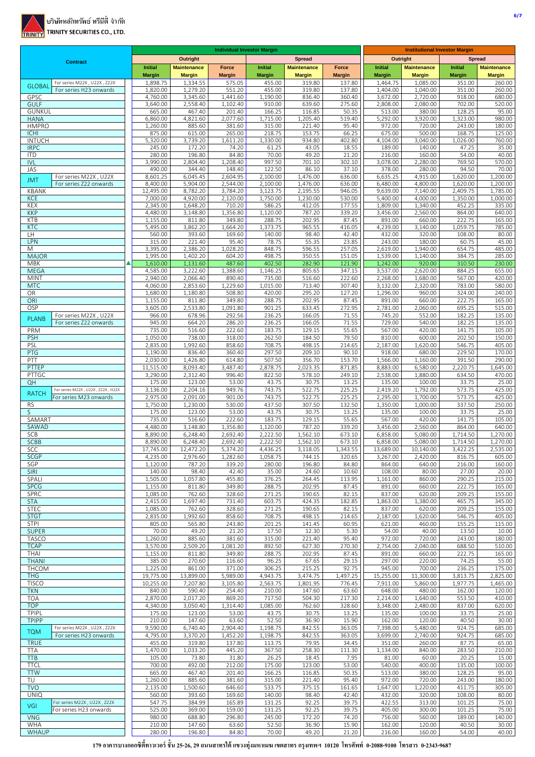

|                                                                        |                       |                      | <b>Individual Investor Margin</b> |                      |                      |                  | <b>Institutional Investor Margin</b> |                      |                      |                      |
|------------------------------------------------------------------------|-----------------------|----------------------|-----------------------------------|----------------------|----------------------|------------------|--------------------------------------|----------------------|----------------------|----------------------|
| <b>Contract</b>                                                        |                       | <b>Outright</b>      |                                   |                      | <b>Spread</b>        |                  | <b>Outright</b>                      |                      | <b>Spread</b>        |                      |
|                                                                        | <b>Initial</b>        | <b>Maintenance</b>   | Force                             | <b>Initial</b>       | <b>Maintenance</b>   | Force            | <b>Initial</b>                       | <b>Maintenance</b>   | Initial              | <b>Maintenance</b>   |
|                                                                        | <b>Margin</b>         | <b>Margin</b>        | <b>Margin</b>                     | <b>Margin</b>        | <b>Margin</b>        | <b>Margin</b>    | <b>Margin</b>                        | <b>Margin</b>        | <b>Margin</b>        | <b>Margin</b>        |
| For series M22X, U22X, Z22X<br><b>GLOBAL</b><br>For series H23 onwards | 1,898.75<br>1,820.00  | 1,334.55<br>1,279.20 | 575.05<br>551.20                  | 455.00<br>455.00     | 319.80<br>319.80     | 137.80<br>137.80 | 1,464.75<br>1,404.00                 | 1,085.00<br>1,040.00 | 351.00<br>351.00     | 260.00<br>260.00     |
| GPSC                                                                   | 4,760.00              | 3,345.60             | 1,441.60                          | 1,190.00             | 836.40               | 360.40           | 3,672.00                             | 2,720.00             | 918.00               | 680.00               |
| <b>GULF</b>                                                            | 3,640.00              | 2,558.40             | 1,102.40                          | 910.00               | 639.60               | 275.60           | 2,808.00                             | 2,080.00             | 702.00               | 520.00               |
| <b>GUNKUL</b>                                                          | 665.00                | 467.40               | 201.40                            | 166.25               | 116.85               | 50.35            | 513.00                               | 380.00               | 128.25               | 95.00                |
| <b>HANA</b>                                                            | 6,860.00              | 4,821.60             | 2,077.60                          | 1,715.00             | 1,205.40             | 519.40           | 5,292.00                             | 3,920.00             | 1,323.00             | 980.00               |
| <b>HMPRO</b>                                                           | 1,260.00              | 885.60               | 381.60                            | 315.00               | 221.40               | 95.40            | 972.00                               | 720.00               | 243.00               | 180.00               |
| <b>ICHI</b><br><b>INTUCH</b>                                           | 875.00<br>5,320.00    | 615.00<br>3,739.20   | 265.00<br>1,611.20                | 218.75<br>1,330.00   | 153.75<br>934.80     | 66.25<br>402.80  | 675.00<br>4,104.00                   | 500.00<br>3,040.00   | 168.75<br>1,026.00   | 125.00<br>760.00     |
| <b>IRPC</b>                                                            | 245.00                | 172.20               | 74.20                             | 61.25                | 43.05                | 18.55            | 189.00                               | 140.00               | 47.25                | 35.00                |
| <b>ITD</b>                                                             | 280.00                | 196.80               | 84.80                             | 70.00                | 49.20                | 21.20            | 216.00                               | 160.00               | 54.00                | 40.00                |
| <b>IVL</b>                                                             | 3,990.00              | 2,804.40             | 1,208.40                          | 997.50               | 701.10               | 302.10           | 3,078.00                             | 2,280.00             | 769.50               | 570.00               |
| JAS                                                                    | 490.00                | 344.40               | 148.40                            | 122.50               | 86.10                | 37.10            | 378.00                               | 280.00               | 94.50                | 70.00                |
| For series M22X, U22X<br><b>JMT</b>                                    | 8,601.25              | 6,045.45             | 2,604.95                          | 2,100.00             | 1,476.00             | 636.00           | 6,635.25                             | 4,915.00             | 1,620.00             | 1,200.00             |
| For series Z22 onwards<br><b>KBANK</b>                                 | 8,400.00              | 5,904.00             | 2,544.00<br>3,784.20              | 2,100.00             | 1,476.00<br>2,195.55 | 636.00<br>946.05 | 6,480.00                             | 4,800.00<br>7,140.00 | 1,620.00             | 1,200.00             |
| <b>KCE</b>                                                             | 12,495.00<br>7,000.00 | 8,782.20<br>4,920.00 | 2,120.00                          | 3,123.75<br>1,750.00 | 1,230.00             | 530.00           | 9,639.00<br>5,400.00                 | 4,000.00             | 2,409.75<br>1,350.00 | 1,785.00<br>1,000.00 |
| KEX                                                                    | 2,345.00              | 1,648.20             | 710.20                            | 586.25               | 412.05               | 177.55           | 1,809.00                             | 1,340.00             | 452.25               | 335.00               |
| <b>KKP</b>                                                             | 4,480.00              | 3,148.80             | 1,356.80                          | 1,120.00             | 787.20               | 339.20           | 3,456.00                             | 2,560.00             | 864.00               | 640.00               |
| <b>KTB</b>                                                             | 1,155.00              | 811.80               | 349.80                            | 288.75               | 202.95               | 87.45            | 891.00                               | 660.00               | 222.75               | 165.00               |
| <b>KTC</b>                                                             | 5,495.00              | 3,862.20             | 1,664.20                          | 1,373.75             | 965.55               | 416.05           | 4,239.00                             | 3,140.00             | 1,059.75             | 785.00               |
| LH                                                                     | 560.00                | 393.60               | 169.60                            | 140.00               | 98.40                | 42.40            | 432.00                               | 320.00               | 108.00               | 80.00                |
| LPN<br>Μ                                                               | 315.00<br>3,395.00    | 221.40<br>2,386.20   | 95.40<br>1,028.20                 | 78.75<br>848.75      | 55.35<br>596.55      | 23.85<br>257.05  | 243.00<br>2,619.00                   | 180.00<br>1,940.00   | 60.75<br>654.75      | 45.00<br>485.00      |
| <b>MAJOR</b>                                                           | 1,995.00              | 1,402.20             | 604.20                            | 498.75               | 350.55               | 151.05           | 1,539.00                             | 1,140.00             | 384.75               | 285.00               |
| <b>MBK</b>                                                             | 1,610.00              | 1,131.60             | 487.60                            | 402.50               | 282.90               | 121.90           | 1,242.00                             | 920.00               | 310.50               | 230.00               |
| <b>MEGA</b>                                                            | 4,585.00              | 3,222.60             | 1,388.60                          | 1,146.25             | 805.65               | 347.15           | 3,537.00                             | 2,620.00             | 884.25               | 655.00               |
| <b>MINT</b>                                                            | 2,940.00              | 2,066.40             | 890.40                            | 735.00               | 516.60               | 222.60           | 2,268.00                             | 1,680.00             | 567.00               | 420.00               |
| <b>MTC</b>                                                             | 4,060.00              | 2,853.60             | 1,229.60                          | 1,015.00             | 713.40               | 307.40           | 3,132.00                             | 2,320.00             | 783.00               | 580.00               |
| OR                                                                     | 1,680.00              | 1,180.80             | 508.80                            | 420.00               | 295.20               | 127.20           | 1,296.00                             | 960.00               | 324.00               | 240.00               |
| ORI<br>OSP                                                             | 1,155.00<br>3,605.00  | 811.80<br>2,533.80   | 349.80<br>1,091.80                | 288.75<br>901.25     | 202.95<br>633.45     | 87.45<br>272.95  | 891.00<br>2,781.00                   | 660.00<br>2,060.00   | 222.75<br>695.25     | 165.00<br>515.00     |
| For series M22X, U22X                                                  | 966.00                | 678.96               | 292.56                            | 236.25               | 166.05               | 71.55            | 745.20                               | 552.00               | 182.25               | 135.00               |
| <b>PLANB</b><br>For series Z22 onwards                                 | 945.00                | 664.20               | 286.20                            | 236.25               | 166.05               | 71.55            | 729.00                               | 540.00               | 182.25               | 135.00               |
| PRM                                                                    | 735.00                | 516.60               | 222.60                            | 183.75               | 129.15               | 55.65            | 567.00                               | 420.00               | 141.75               | 105.00               |
| <b>PSH</b>                                                             | 1,050.00              | 738.00               | 318.00                            | 262.50               | 184.50               | 79.50            | 810.00                               | 600.00               | 202.50               | 150.00               |
| PSL                                                                    | 2,835.00              | 1,992.60             | 858.60                            | 708.75               | 498.15               | 214.65           | 2,187.00                             | 1,620.00             | 546.75               | 405.00               |
| PTG                                                                    | 1,190.00              | 836.40               | 360.40                            | 297.50               | 209.10               | 90.10            | 918.00                               | 680.00               | 229.50               | 170.00               |
| PTT<br>PTTEP                                                           | 2,030.00              | 1,426.80             | 614.80                            | 507.50               | 356.70               | 153.70           | 1,566.00                             | 1,160.00             | 391.50               | 290.00               |
| PTTGC                                                                  | 11,515.00<br>3,290.00 | 8,093.40<br>2,312.40 | 3,487.40<br>996.40                | 2,878.75<br>822.50   | 2,023.35<br>578.10   | 871.85<br>249.10 | 8,883.00<br>2,538.00                 | 6,580.00<br>1,880.00 | 2,220.75<br>634.50   | 1,645.00<br>470.00   |
| QH                                                                     | 175.00                | 123.00               | 53.00                             | 43.75                | 30.75                | 13.25            | 135.00                               | 100.00               | 33.75                | 25.00                |
| For series M22X, U22X, Z22X, H22X                                      | 3,136.00              | 2,204.16             | 949.76                            | 743.75               | 522.75               | 225.25           | 2,419.20                             | 1,792.00             | 573.75               | 425.00               |
| <b>RATCH</b><br>For series M23 onwards                                 | 2,975.00              | 2,091.00             | 901.00                            | 743.75               | 522.75               | 225.25           | 2,295.00                             | 1,700.00             | 573.75               | 425.00               |
| <b>RS</b>                                                              | 1,750.00              | 1,230.00             | 530.00                            | 437.50               | 307.50               | 132.50           | 1,350.00                             | 1,000.00             | 337.50               | 250.00               |
| S                                                                      | 175.00                | 123.00               | 53.00                             | 43.75                | 30.75                | 13.25            | 135.00                               | 100.00               | 33.75                | 25.00                |
| SAMART                                                                 | 735.00                | 516.60               | 222.60                            | 183.75               | 129.15<br>787.20     | 55.65<br>339.20  | 567.00                               | 420.00               | 141.75<br>864.00     | 105.00<br>640.00     |
| SAWAD<br><b>SCB</b>                                                    | 4,480.00<br>8,890.00  | 3,148.80<br>6,248.40 | 1,356.80<br>2,692.40              | 1,120.00<br>2,222.50 | 1,562.10             | 673.10           | 3,456.00<br>6,858.00                 | 2,560.00<br>5,080.00 | 1,714.50             | 1,270.00             |
| <b>SCBB</b>                                                            | 8,890.00              | 6,248.40             | 2,692.40                          | 2,222.50             | 1,562.10             | 673.10           | 6,858.00                             | 5,080.00             | 1,714.50             | 1,270.00             |
| <b>SCC</b>                                                             | 17,745.00             | 12,472.20            | 5,374.20                          | 4,436.25             | 3,118.05             | 1,343.55         | 13,689.00                            | 10,140.00            | 3,422.25             | 2,535.00             |
| <b>SCGP</b>                                                            | 4,235.00              | 2,976.60             | 1,282.60                          | 1,058.75             | 744.15               | 320.65           | 3,267.00                             | 2,420.00             | 816.75               | 605.00               |
| SGP                                                                    | 1,120.00              | 787.20               | 339.20                            | 280.00               | 196.80               | 84.80            | 864.00                               | 640.00               | 216.00               | 160.00               |
| <b>SIRI</b>                                                            | 140.00                | 98.40                | 42.40                             | 35.00                | 24.60                | 10.60            | 108.00                               | 80.00                | 27.00                | 20.00                |
| SPALI<br><b>SPCG</b>                                                   | 1,505.00<br>1,155.00  | 1,057.80<br>811.80   | 455.80<br>349.80                  | 376.25<br>288.75     | 264.45<br>202.95     | 113.95<br>87.45  | 1,161.00<br>891.00                   | 860.00<br>660.00     | 290.25<br>222.75     | 215.00<br>165.00     |
| SPRC                                                                   | 1,085.00              | 762.60               | 328.60                            | 271.25               | 190.65               | 82.15            | 837.00                               | 620.00               | 209.25               | 155.00               |
| <b>STA</b>                                                             | 2,415.00              | 1,697.40             | 731.40                            | 603.75               | 424.35               | 182.85           | 1,863.00                             | 1,380.00             | 465.75               | 345.00               |
| <b>STEC</b>                                                            | 1,085.00              | 762.60               | 328.60                            | 271.25               | 190.65               | 82.15            | 837.00                               | 620.00               | 209.25               | 155.00               |
| <b>STGT</b>                                                            | 2,835.00              | 1,992.60             | 858.60                            | 708.75               | 498.15               | 214.65           | 2,187.00                             | 1,620.00             | 546.75               | 405.00               |
| <b>STPI</b>                                                            | 805.00                | 565.80               | 243.80                            | 201.25               | 141.45               | 60.95            | 621.00                               | 460.00               | 155.25               | 115.00               |
| <b>SUPER</b>                                                           | 70.00                 | 49.20                | 21.20                             | 17.50                | 12.30                | 5.30             | 54.00                                | 40.00                | 13.50                | 10.00                |
| <b>TASCO</b><br><b>TCAP</b>                                            | 1,260.00<br>3,570.00  | 885.60<br>2,509.20   | 381.60<br>1,081.20                | 315.00<br>892.50     | 221.40<br>627.30     | 95.40<br>270.30  | 972.00<br>2,754.00                   | 720.00<br>2,040.00   | 243.00<br>688.50     | 180.00<br>510.00     |
| THAI                                                                   | 1,155.00              | 811.80               | 349.80                            | 288.75               | 202.95               | 87.45            | 891.00                               | 660.00               | 222.75               | 165.00               |
| <b>THANI</b>                                                           | 385.00                | 270.60               | 116.60                            | 96.25                | 67.65                | 29.15            | 297.00                               | 220.00               | 74.25                | 55.00                |
| THCOM                                                                  | 1,225.00              | 861.00               | 371.00                            | 306.25               | 215.25               | 92.75            | 945.00                               | 700.00               | 236.25               | 175.00               |
| <b>THG</b>                                                             | 19,775.00             | 13,899.00            | 5,989.00                          | 4,943.75             | 3,474.75             | 1,497.25         | 15,255.00                            | 11,300.00            | 3,813.75             | 2,825.00             |
| <b>TISCO</b>                                                           | 10,255.00             | 7,207.80             | 3,105.80                          | 2,563.75             | 1,801.95             | 776.45           | 7,911.00                             | 5,860.00             | 1,977.75             | 1,465.00             |
| <b>TKN</b>                                                             | 840.00                | 590.40               | 254.40                            | 210.00               | 147.60               | 63.60            | 648.00                               | 480.00               | 162.00               | 120.00               |
| <b>TOA</b><br><b>TOP</b>                                               | 2,870.00<br>4,340.00  | 2,017.20<br>3,050.40 | 869.20<br>1,314.40                | 717.50<br>1,085.00   | 504.30<br>762.60     | 217.30<br>328.60 | 2,214.00<br>3,348.00                 | 1,640.00<br>2,480.00 | 553.50<br>837.00     | 410.00               |
| TPIPL                                                                  | 175.00                | 123.00               | 53.00                             | 43.75                | 30.75                | 13.25            | 135.00                               | 100.00               | 33.75                | 620.00<br>25.00      |
| <b>TPIPP</b>                                                           | 210.00                | 147.60               | 63.60                             | 52.50                | 36.90                | 15.90            | 162.00                               | 120.00               | 40.50                | 30.00                |
| For series M22X, U22X, Z22X                                            | 9,590.00              | 6,740.40             | 2,904.40                          | 1,198.75             | 842.55               | 363.05           | 7,398.00                             | 5,480.00             | 924.75               | 685.00               |
| <b>TQM</b><br>For series H23 onwards                                   | 4,795.00              | 3,370.20             | 1,452.20                          | 1,198.75             | 842.55               | 363.05           | 3,699.00                             | 2,740.00             | 924.75               | 685.00               |
| <b>TRUE</b>                                                            | 455.00                | 319.80               | 137.80                            | 113.75               | 79.95                | 34.45            | 351.00                               | 260.00               | 87.75                | 65.00                |
| TTA                                                                    | 1,470.00              | 1,033.20             | 445.20                            | 367.50               | 258.30               | 111.30           | 1,134.00                             | 840.00               | 283.50               | 210.00               |
| <b>TTB</b>                                                             | 105.00                | 73.80                | 31.80                             | 26.25                | 18.45                | 7.95             | 81.00                                | 60.00                | 20.25                | 15.00                |
| <b>TTCL</b><br><b>TTW</b>                                              | 700.00<br>665.00      | 492.00<br>467.40     | 212.00<br>201.40                  | 175.00<br>166.25     | 123.00<br>116.85     | 53.00<br>50.35   | 540.00<br>513.00                     | 400.00<br>380.00     | 135.00<br>128.25     | 100.00<br>95.00      |
| TU                                                                     | 1,260.00              | 885.60               | 381.60                            | 315.00               | 221.40               | 95.40            | 972.00                               | 720.00               | 243.00               | 180.00               |
| <b>TVO</b>                                                             | 2,135.00              | 1,500.60             | 646.60                            | 533.75               | 375.15               | 161.65           | 1,647.00                             | 1,220.00             | 411.75               | 305.00               |
| <b>UNIQ</b>                                                            | 560.00                | 393.60               | 169.60                            | 140.00               | 98.40                | 42.40            | 432.00                               | 320.00               | 108.00               | 80.00                |
| For series M22X, U22X, Z22X<br>VGI                                     | 547.75                | 384.99               | 165.89                            | 131.25               | 92.25                | 39.75            | 422.55                               | 313.00               | 101.25               | 75.00                |
| For series H23 onwards                                                 | 525.00                | 369.00               | 159.00                            | 131.25               | 92.25                | 39.75            | 405.00                               | 300.00               | 101.25               | 75.00                |
| <b>VNG</b>                                                             | 980.00                | 688.80               | 296.80                            | 245.00               | 172.20               | 74.20            | 756.00                               | 560.00               | 189.00               | 140.00               |
| WHA<br>WHAUP                                                           | 210.00<br>280.00      | 147.60<br>196.80     | 63.60<br>84.80                    | 52.50<br>70.00       | 36.90<br>49.20       | 15.90<br>21.20   | 162.00<br>216.00                     | 120.00<br>160.00     | 40.50<br>54.00       | 30.00<br>40.00       |
|                                                                        |                       |                      |                                   |                      |                      |                  |                                      |                      |                      |                      |